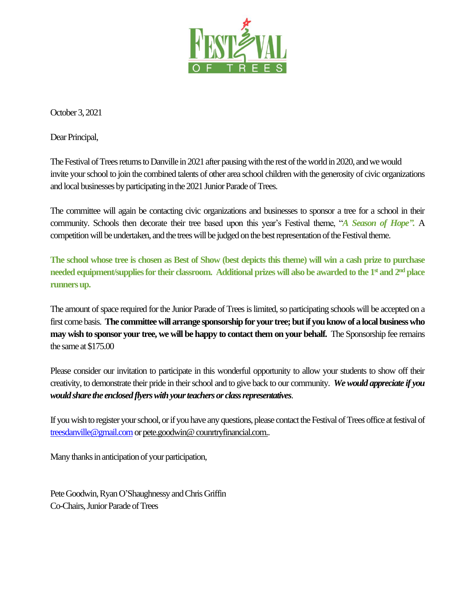

October 3, 2021

Dear Principal,

The Festival of Trees returns to Danville in 2021 after pausing with the rest of the world in 2020, and we would invite your school to join the combined talents of other area school children with the generosity of civic organizations and local businesses by participating in the 2021 Junior Parade of Trees.

The committee will again be contacting civic organizations and businesses to sponsor a tree for a school in their community. Schools then decorate their tree based upon this year's Festival theme, "*A Season of Hope".* A competition will be undertaken, and the trees will be judged on the best representation of the Festival theme.

**The school whose tree is chosen as Best of Show (best depicts this theme) will win a cash prize to purchase needed equipment/suppliesfor their classroom. Additional prizes will also be awarded to the 1st and 2nd place runnersup.** 

The amount of space required for the Junior Parade of Trees is limited, so participating schools will be accepted on a first come basis. **The committee will arrange sponsorship for your tree;but if you know of a local business who may wish to sponsor your tree, we will be happy to contact them on your behalf.** The Sponsorship fee remains the same at \$175.00

Please consider our invitation to participate in this wonderful opportunity to allow your students to show off their creativity, to demonstrate their pride in their school and to give back to our community. *We would appreciate if you would share the enclosed flyers with your teachers or class representatives*.

If you wish to register your school, or if you have any questions, please contact the Festival of Trees office at festival of [treesdanville@gmail.com](mailto:treesdanville@gmail.com)or pete.goodwin@ counrtryfinancial.com..

Many thanks in anticipation of your participation,

Pete Goodwin, Ryan O'Shaughnessy and Chris Griffin Co-Chairs, Junior Parade of Trees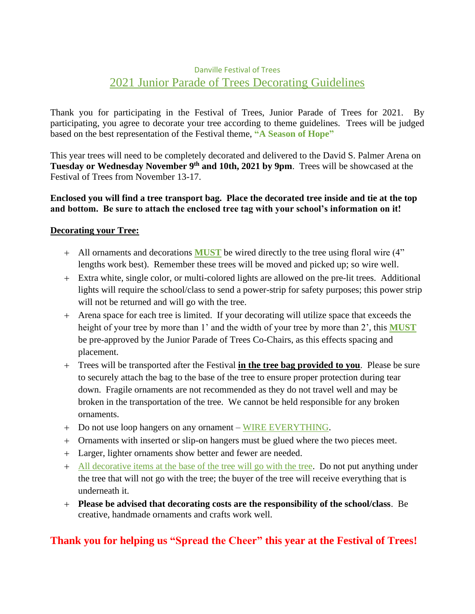### Danville Festival of Trees 2021 Junior Parade of Trees Decorating Guidelines

Thank you for participating in the Festival of Trees, Junior Parade of Trees for 2021. By participating, you agree to decorate your tree according to theme guidelines. Trees will be judged based on the best representation of the Festival theme, **"A Season of Hope"**

This year trees will need to be completely decorated and delivered to the David S. Palmer Arena on **Tuesday or Wednesday November 9 th and 10th, 2021 by 9pm**. Trees will be showcased at the Festival of Trees from November 13-17.

#### **Enclosed you will find a tree transport bag. Place the decorated tree inside and tie at the top and bottom. Be sure to attach the enclosed tree tag with your school's information on it!**

#### **Decorating your Tree:**

- + All ornaments and decorations **MUST** be wired directly to the tree using floral wire (4" lengths work best). Remember these trees will be moved and picked up; so wire well.
- + Extra white, single color, or multi-colored lights are allowed on the pre-lit trees. Additional lights will require the school/class to send a power-strip for safety purposes; this power strip will not be returned and will go with the tree.
- + Arena space for each tree is limited. If your decorating will utilize space that exceeds the height of your tree by more than 1' and the width of your tree by more than 2', this **MUST** be pre-approved by the Junior Parade of Trees Co-Chairs, as this effects spacing and placement.
- + Trees will be transported after the Festival **in the tree bag provided to you**. Please be sure to securely attach the bag to the base of the tree to ensure proper protection during tear down. Fragile ornaments are not recommended as they do not travel well and may be broken in the transportation of the tree. We cannot be held responsible for any broken ornaments.
- + Do not use loop hangers on any ornament WIRE EVERYTHING.
- + Ornaments with inserted or slip-on hangers must be glued where the two pieces meet.
- + Larger, lighter ornaments show better and fewer are needed.
- + All decorative items at the base of the tree will go with the tree. Do not put anything under the tree that will not go with the tree; the buyer of the tree will receive everything that is underneath it.
- + **Please be advised that decorating costs are the responsibility of the school/class**. Be creative, handmade ornaments and crafts work well.

### **Thank you for helping us "Spread the Cheer" this year at the Festival of Trees!**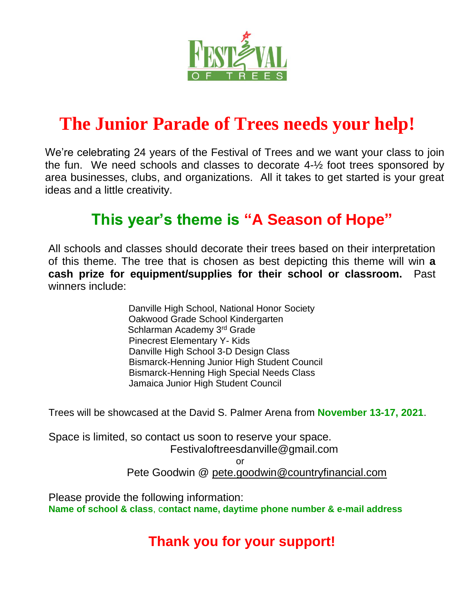

# **The Junior Parade of Trees needs your help!**

We're celebrating 24 years of the Festival of Trees and we want your class to join the fun. We need schools and classes to decorate 4-½ foot trees sponsored by area businesses, clubs, and organizations. All it takes to get started is your great ideas and a little creativity.

## **This year's theme is "A Season of Hope"**

All schools and classes should decorate their trees based on their interpretation of this theme. The tree that is chosen as best depicting this theme will win **a cash prize for equipment/supplies for their school or classroom.** Past winners include:

> Danville High School, National Honor Society Oakwood Grade School Kindergarten Schlarman Academy 3rd Grade Pinecrest Elementary Y- Kids Danville High School 3-D Design Class Bismarck-Henning Junior High Student Council Bismarck-Henning High Special Needs Class Jamaica Junior High Student Council

Trees will be showcased at the David S. Palmer Arena from **November 13-17, 2021**.

Space is limited, so contact us soon to reserve your space. Festivaloftreesdanville@gmail.com or

Pete Goodwin @ pete.goodwin@countryfinancial.com

Please provide the following information: **Name of school & class**, c**ontact name, daytime phone number & e-mail address**

## **Thank you for your support!**